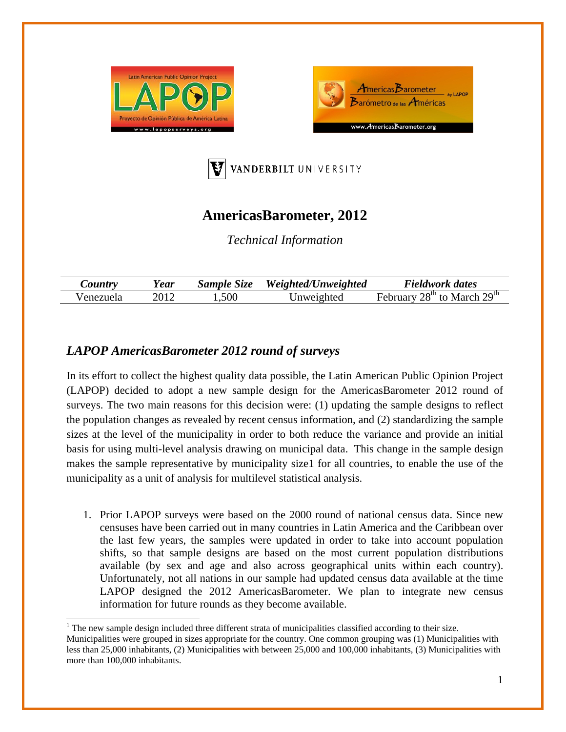





# **AmericasBarometer, 2012**

*Technical Information* 

| <i>Lountry</i> | Year | Sample Size | Weighted/Unweighted | <b>Fieldwork dates</b>             |
|----------------|------|-------------|---------------------|------------------------------------|
| enezuela       |      | .500        | Inweighted          | $28th$ to March $29th$<br>February |

## *LAPOP AmericasBarometer 2012 round of surveys*

In its effort to collect the highest quality data possible, the Latin American Public Opinion Project (LAPOP) decided to adopt a new sample design for the AmericasBarometer 2012 round of surveys. The two main reasons for this decision were: (1) updating the sample designs to reflect the population changes as revealed by recent census information, and (2) standardizing the sample sizes at the level of the municipality in order to both reduce the variance and provide an initial basis for using multi-level analysis drawing on municipal data. This change in the sample design makes the sample representative by municipality size1 for all countries, to enable the use of the municipality as a unit of analysis for multilevel statistical analysis.

1. Prior LAPOP surveys were based on the 2000 round of national census data. Since new censuses have been carried out in many countries in Latin America and the Caribbean over the last few years, the samples were updated in order to take into account population shifts, so that sample designs are based on the most current population distributions available (by sex and age and also across geographical units within each country). Unfortunately, not all nations in our sample had updated census data available at the time LAPOP designed the 2012 AmericasBarometer. We plan to integrate new census information for future rounds as they become available.

 $<sup>1</sup>$  The new sample design included three different strata of municipalities classified according to their size.</sup> Municipalities were grouped in sizes appropriate for the country. One common grouping was (1) Municipalities with less than 25,000 inhabitants, (2) Municipalities with between 25,000 and 100,000 inhabitants, (3) Municipalities with more than 100,000 inhabitants.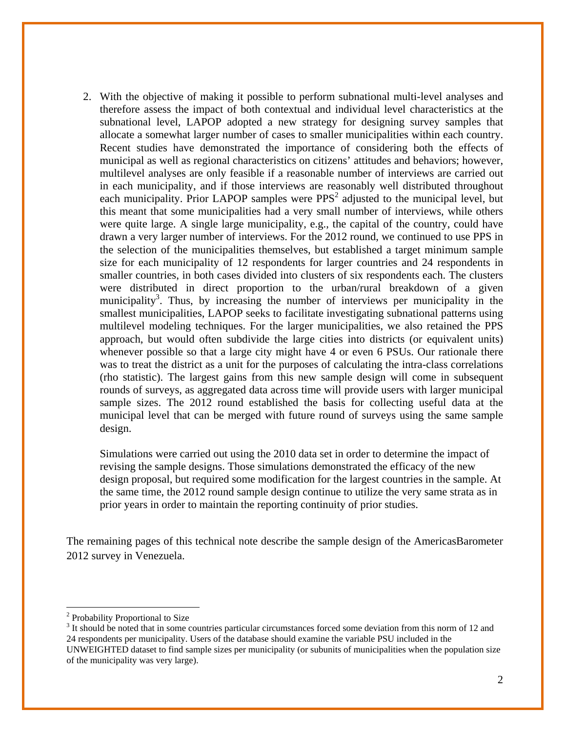2. With the objective of making it possible to perform subnational multi-level analyses and therefore assess the impact of both contextual and individual level characteristics at the subnational level, LAPOP adopted a new strategy for designing survey samples that allocate a somewhat larger number of cases to smaller municipalities within each country. Recent studies have demonstrated the importance of considering both the effects of municipal as well as regional characteristics on citizens' attitudes and behaviors; however, multilevel analyses are only feasible if a reasonable number of interviews are carried out in each municipality, and if those interviews are reasonably well distributed throughout each municipality. Prior LAPOP samples were  $PPS<sup>2</sup>$  adjusted to the municipal level, but this meant that some municipalities had a very small number of interviews, while others were quite large. A single large municipality, e.g., the capital of the country, could have drawn a very larger number of interviews. For the 2012 round, we continued to use PPS in the selection of the municipalities themselves, but established a target minimum sample size for each municipality of 12 respondents for larger countries and 24 respondents in smaller countries, in both cases divided into clusters of six respondents each. The clusters were distributed in direct proportion to the urban/rural breakdown of a given municipality<sup>3</sup>. Thus, by increasing the number of interviews per municipality in the smallest municipalities, LAPOP seeks to facilitate investigating subnational patterns using multilevel modeling techniques. For the larger municipalities, we also retained the PPS approach, but would often subdivide the large cities into districts (or equivalent units) whenever possible so that a large city might have 4 or even 6 PSUs. Our rationale there was to treat the district as a unit for the purposes of calculating the intra-class correlations (rho statistic). The largest gains from this new sample design will come in subsequent rounds of surveys, as aggregated data across time will provide users with larger municipal sample sizes. The 2012 round established the basis for collecting useful data at the municipal level that can be merged with future round of surveys using the same sample design.

Simulations were carried out using the 2010 data set in order to determine the impact of revising the sample designs. Those simulations demonstrated the efficacy of the new design proposal, but required some modification for the largest countries in the sample. At the same time, the 2012 round sample design continue to utilize the very same strata as in prior years in order to maintain the reporting continuity of prior studies.

The remaining pages of this technical note describe the sample design of the AmericasBarometer 2012 survey in Venezuela.

 <sup>2</sup> Probability Proportional to Size

<sup>&</sup>lt;sup>3</sup> It should be noted that in some countries particular circumstances forced some deviation from this norm of 12 and 24 respondents per municipality. Users of the database should examine the variable PSU included in the UNWEIGHTED dataset to find sample sizes per municipality (or subunits of municipalities when the population size of the municipality was very large).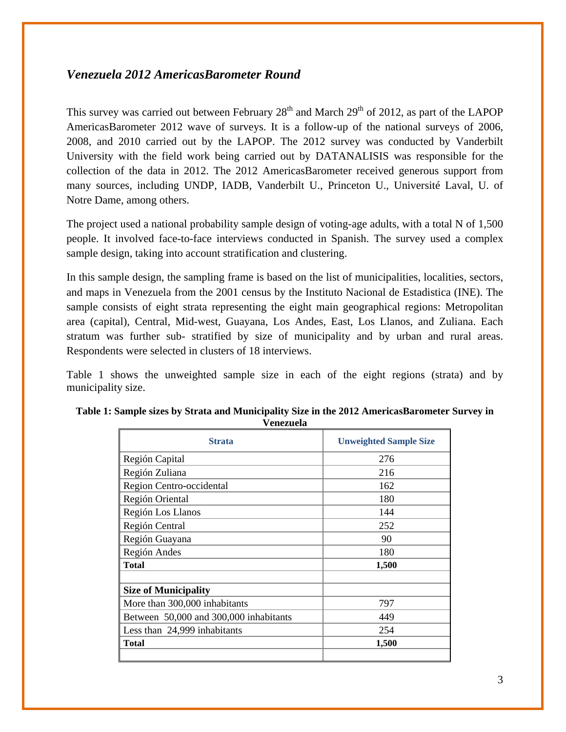### *Venezuela 2012 AmericasBarometer Round*

This survey was carried out between February  $28<sup>th</sup>$  and March  $29<sup>th</sup>$  of 2012, as part of the LAPOP AmericasBarometer 2012 wave of surveys. It is a follow-up of the national surveys of 2006, 2008, and 2010 carried out by the LAPOP. The 2012 survey was conducted by Vanderbilt University with the field work being carried out by DATANALISIS was responsible for the collection of the data in 2012. The 2012 AmericasBarometer received generous support from many sources, including UNDP, IADB, Vanderbilt U., Princeton U., Université Laval, U. of Notre Dame, among others.

The project used a national probability sample design of voting-age adults, with a total N of 1,500 people. It involved face-to-face interviews conducted in Spanish. The survey used a complex sample design, taking into account stratification and clustering.

In this sample design, the sampling frame is based on the list of municipalities, localities, sectors, and maps in Venezuela from the 2001 census by the Instituto Nacional de Estadistica (INE). The sample consists of eight strata representing the eight main geographical regions: Metropolitan area (capital), Central, Mid-west, Guayana, Los Andes, East, Los Llanos, and Zuliana. Each stratum was further sub- stratified by size of municipality and by urban and rural areas. Respondents were selected in clusters of 18 interviews.

Table 1 shows the unweighted sample size in each of the eight regions (strata) and by municipality size.

| <b>Strata</b>                          | <b>Unweighted Sample Size</b> |
|----------------------------------------|-------------------------------|
| Región Capital                         | 276                           |
| Región Zuliana                         | 216                           |
| Region Centro-occidental               | 162                           |
| Región Oriental                        | 180                           |
| Región Los Llanos                      | 144                           |
| Región Central                         | 252                           |
| Región Guayana                         | 90                            |
| Región Andes                           | 180                           |
| <b>Total</b>                           | 1,500                         |
|                                        |                               |
| <b>Size of Municipality</b>            |                               |
| More than 300,000 inhabitants          | 797                           |
| Between 50,000 and 300,000 inhabitants | 449                           |
| Less than 24,999 inhabitants           | 254                           |
| <b>Total</b>                           | 1,500                         |
|                                        |                               |

#### **Table 1: Sample sizes by Strata and Municipality Size in the 2012 AmericasBarometer Survey in Venezuela**